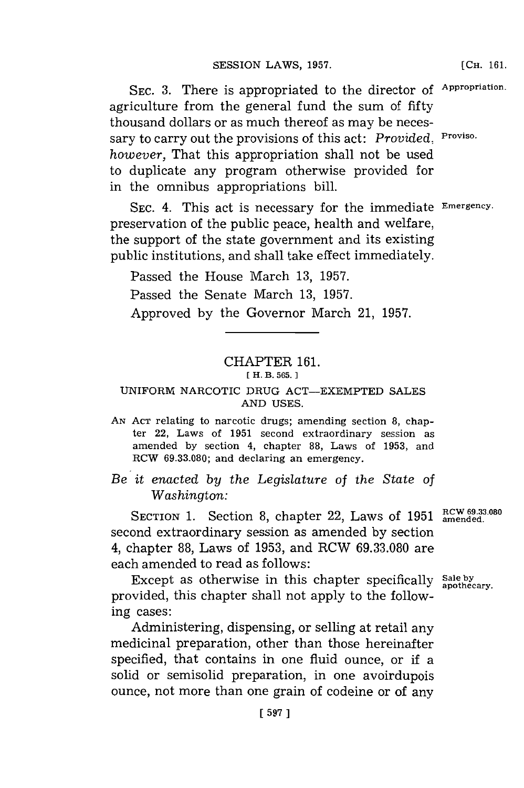**SEC. 3.** There is appropriated to the director **of Appropriation.** agriculture from the general fund the sum of fifty thousand dollars or as much thereof as may be necessary to carry out the provisions of this act: *Provided.* Proviso. *however,* That this appropriation shall not be used to duplicate any program otherwise provided for in the omnibus appropriations bill.

**SEC.** 4. This act is necessary for the immediate **Emergency.** preservation of the public peace, health and welfare, the support of the state government and its existing public institutions, and shall take effect immediately.

Passed the House March **13, 1957.** Passed the Senate March **13, 1957.** Approved **by** the Governor March 21, **1957.**

## CHAPTER **161.**

## **[ H. B. 565. 1**

## UNIFORM NARCOTIC **DRUG** ACT-EXEMPTED **SALES AND USES.**

**AN ACT** relating to narcotic drugs; amending section **8,** chapter 22, Laws of **1951** second extraordinary session as amended **by** section 4, chapter **88,** Laws of **1953,** and RCW **69.33.080;** and declaring an emergency.

*Be it enacted by the Legislature* of *the* State *of Washington:*

SECTION 1. Section 8, chapter 22, Laws of 1951 **RCW 69.33.080** second extraordinary session as amended **by** section 4, chapter **88,** Laws of **1953,** and ROW **69.33.080** are each amended to read as follows:

Except as otherwise in this chapter specifically sale by apothecary. provided, this chapter shall not apply to the following cases:

Administering, dispensing, or selling at retail any medicinal preparation, other than those hereinafter specified, that contains in one fluid ounce, or if a solid or semisolid preparation, in one avoirdupois ounce, not more than one grain of codeine or of any